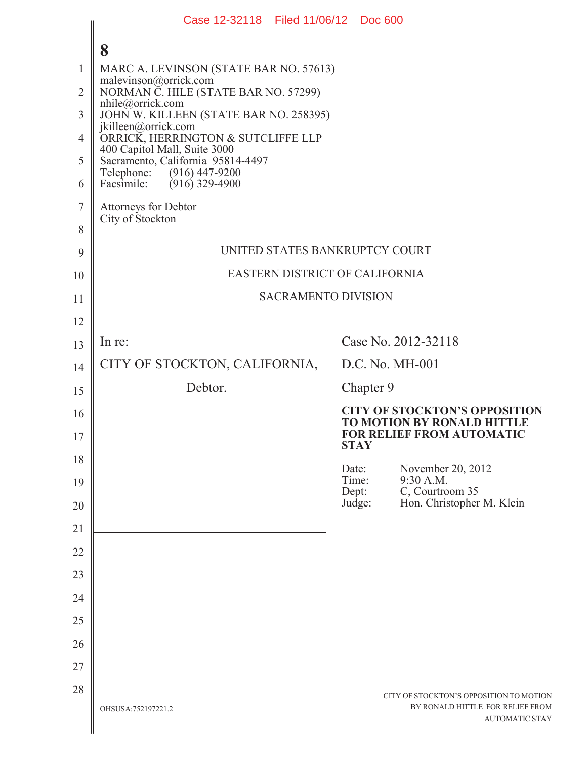|                | Case 12-32118 Filed 11/06/12 Doc 600                              |                 |                                                                                                      |
|----------------|-------------------------------------------------------------------|-----------------|------------------------------------------------------------------------------------------------------|
|                | 8                                                                 |                 |                                                                                                      |
| 1              | MARC A. LEVINSON (STATE BAR NO. 57613)                            |                 |                                                                                                      |
| $\overline{2}$ | malevinson@orrick.com<br>NORMAN C. HILE (STATE BAR NO. 57299)     |                 |                                                                                                      |
| 3              | nhile@orrick.com<br>JOHN W. KILLEEN (STATE BAR NO. 258395)        |                 |                                                                                                      |
| $\overline{4}$ | jkilleen@orrick.com<br>ORRICK, HERRINGTON & SUTCLIFFE LLP         |                 |                                                                                                      |
| 5              | 400 Capitol Mall, Suite 3000<br>Sacramento, California 95814-4497 |                 |                                                                                                      |
| 6              | Telephone: (916) 447-9200<br>Facsimile:<br>$(916)$ 329-4900       |                 |                                                                                                      |
| $\overline{7}$ | <b>Attorneys for Debtor</b>                                       |                 |                                                                                                      |
| 8              | City of Stockton                                                  |                 |                                                                                                      |
| 9              | UNITED STATES BANKRUPTCY COURT                                    |                 |                                                                                                      |
| 10             | EASTERN DISTRICT OF CALIFORNIA                                    |                 |                                                                                                      |
| 11             | <b>SACRAMENTO DIVISION</b>                                        |                 |                                                                                                      |
| 12             |                                                                   |                 |                                                                                                      |
| 13             | In re:                                                            |                 | Case No. 2012-32118                                                                                  |
| 14             | CITY OF STOCKTON, CALIFORNIA,                                     |                 | D.C. No. MH-001                                                                                      |
| 15             | Debtor.                                                           | Chapter 9       |                                                                                                      |
| 16             |                                                                   |                 | <b>CITY OF STOCKTON'S OPPOSITION</b><br>TO MOTION BY RONALD HITTLE                                   |
| 17             |                                                                   | <b>STAY</b>     | <b>FOR RELIEF FROM AUTOMATIC</b>                                                                     |
| 18             |                                                                   | Date:<br>Time:  | November 20, 2012<br>9:30 A.M.                                                                       |
| 19             |                                                                   | Dept:<br>Judge: | C, Courtroom 35                                                                                      |
| 20             |                                                                   |                 | Hon. Christopher M. Klein                                                                            |
| 21             |                                                                   |                 |                                                                                                      |
| 22             |                                                                   |                 |                                                                                                      |
| 23             |                                                                   |                 |                                                                                                      |
| 24             |                                                                   |                 |                                                                                                      |
| 25             |                                                                   |                 |                                                                                                      |
| 26             |                                                                   |                 |                                                                                                      |
| 27<br>28       |                                                                   |                 |                                                                                                      |
|                | OHSUSA:752197221.2                                                |                 | CITY OF STOCKTON'S OPPOSITION TO MOTION<br>BY RONALD HITTLE FOR RELIEF FROM<br><b>AUTOMATIC STAY</b> |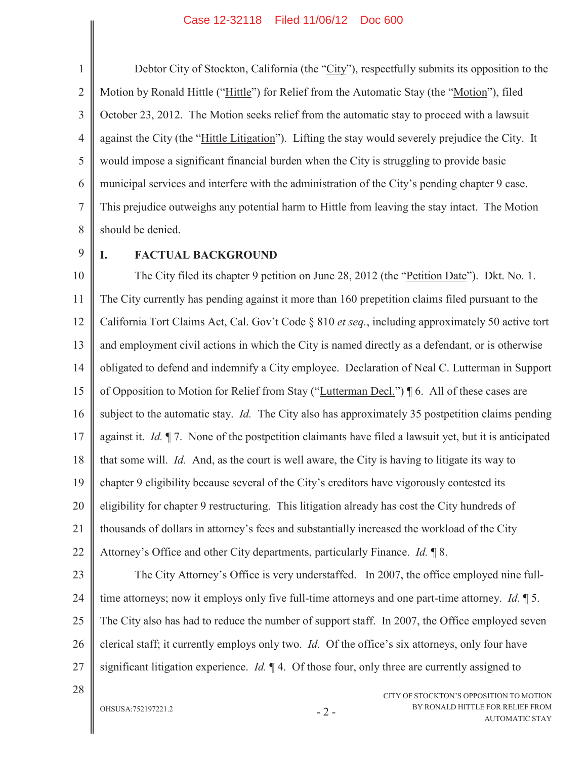1 2 3 4 5 6 7 8 Debtor City of Stockton, California (the "City"), respectfully submits its opposition to the Motion by Ronald Hittle ("Hittle") for Relief from the Automatic Stay (the "Motion"), filed October 23, 2012. The Motion seeks relief from the automatic stay to proceed with a lawsuit against the City (the "Hittle Litigation"). Lifting the stay would severely prejudice the City. It would impose a significant financial burden when the City is struggling to provide basic municipal services and interfere with the administration of the City's pending chapter 9 case. This prejudice outweighs any potential harm to Hittle from leaving the stay intact. The Motion should be denied.

9

### **I. FACTUAL BACKGROUND**

10 11 12 13 14 15 16 17 18 19 20 21 22 The City filed its chapter 9 petition on June 28, 2012 (the "Petition Date"). Dkt. No. 1. The City currently has pending against it more than 160 prepetition claims filed pursuant to the California Tort Claims Act, Cal. Gov't Code § 810 *et seq.*, including approximately 50 active tort and employment civil actions in which the City is named directly as a defendant, or is otherwise obligated to defend and indemnify a City employee. Declaration of Neal C. Lutterman in Support of Opposition to Motion for Relief from Stay ("Lutterman Decl.") ¶ 6. All of these cases are subject to the automatic stay. *Id.* The City also has approximately 35 postpetition claims pending against it. *Id.* ¶ 7. None of the postpetition claimants have filed a lawsuit yet, but it is anticipated that some will. *Id.* And, as the court is well aware, the City is having to litigate its way to chapter 9 eligibility because several of the City's creditors have vigorously contested its eligibility for chapter 9 restructuring. This litigation already has cost the City hundreds of thousands of dollars in attorney's fees and substantially increased the workload of the City Attorney's Office and other City departments, particularly Finance. *Id.* ¶ 8.

23

24 25 26 27 The City Attorney's Office is very understaffed. In 2007, the office employed nine fulltime attorneys; now it employs only five full-time attorneys and one part-time attorney. *Id.* ¶ 5. The City also has had to reduce the number of support staff. In 2007, the Office employed seven clerical staff; it currently employs only two. *Id.* Of the office's six attorneys, only four have significant litigation experience. *Id.* ¶ 4. Of those four, only three are currently assigned to

28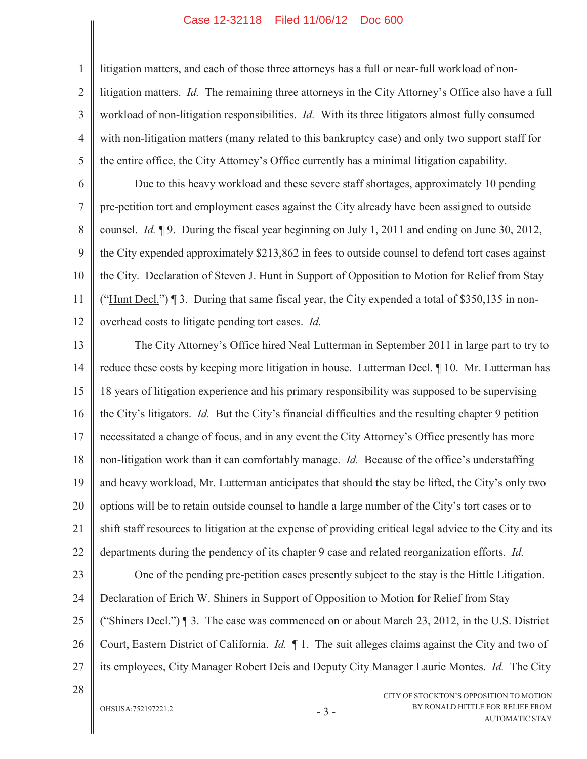litigation matters, and each of those three attorneys has a full or near-full workload of nonlitigation matters. *Id.* The remaining three attorneys in the City Attorney's Office also have a full workload of non-litigation responsibilities. *Id.* With its three litigators almost fully consumed with non-litigation matters (many related to this bankruptcy case) and only two support staff for the entire office, the City Attorney's Office currently has a minimal litigation capability.

6 7 8 9 10 11 12 Due to this heavy workload and these severe staff shortages, approximately 10 pending pre-petition tort and employment cases against the City already have been assigned to outside counsel. *Id.* ¶ 9. During the fiscal year beginning on July 1, 2011 and ending on June 30, 2012, the City expended approximately \$213,862 in fees to outside counsel to defend tort cases against the City. Declaration of Steven J. Hunt in Support of Opposition to Motion for Relief from Stay ("Hunt Decl.")  $\P$  3. During that same fiscal year, the City expended a total of \$350,135 in nonoverhead costs to litigate pending tort cases. *Id.*

13 14 15 16 17 18 19 20 21 22 23 The City Attorney's Office hired Neal Lutterman in September 2011 in large part to try to reduce these costs by keeping more litigation in house. Lutterman Decl. ¶ 10. Mr. Lutterman has 18 years of litigation experience and his primary responsibility was supposed to be supervising the City's litigators. *Id.* But the City's financial difficulties and the resulting chapter 9 petition necessitated a change of focus, and in any event the City Attorney's Office presently has more non-litigation work than it can comfortably manage. *Id.* Because of the office's understaffing and heavy workload, Mr. Lutterman anticipates that should the stay be lifted, the City's only two options will be to retain outside counsel to handle a large number of the City's tort cases or to shift staff resources to litigation at the expense of providing critical legal advice to the City and its departments during the pendency of its chapter 9 case and related reorganization efforts. *Id.* One of the pending pre-petition cases presently subject to the stay is the Hittle Litigation.

24 25 26 27 Declaration of Erich W. Shiners in Support of Opposition to Motion for Relief from Stay ("Shiners Decl.")  $\P$  3. The case was commenced on or about March 23, 2012, in the U.S. District Court, Eastern District of California. *Id.* ¶ 1. The suit alleges claims against the City and two of its employees, City Manager Robert Deis and Deputy City Manager Laurie Montes. *Id.* The City

28

1

2

3

4

5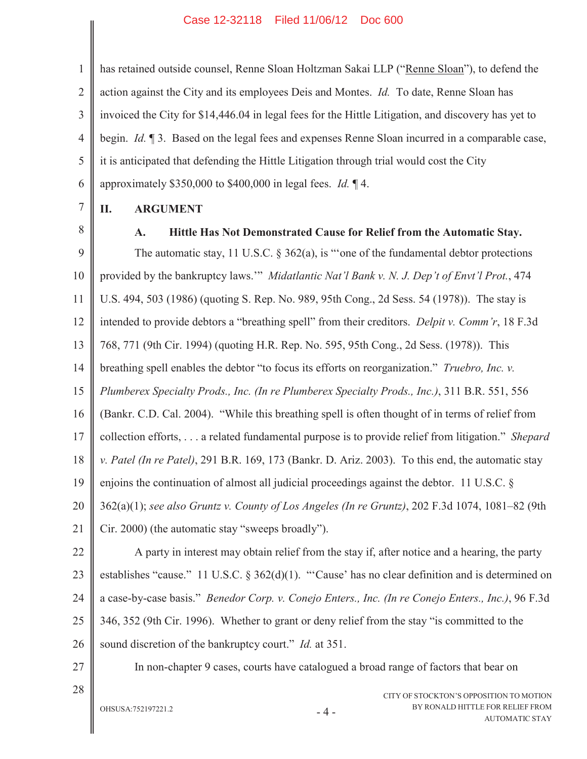1 2 3 4 5 6 has retained outside counsel, Renne Sloan Holtzman Sakai LLP ("Renne Sloan"), to defend the action against the City and its employees Deis and Montes. *Id.* To date, Renne Sloan has invoiced the City for \$14,446.04 in legal fees for the Hittle Litigation, and discovery has yet to begin. *Id.* ¶ 3. Based on the legal fees and expenses Renne Sloan incurred in a comparable case, it is anticipated that defending the Hittle Litigation through trial would cost the City approximately \$350,000 to \$400,000 in legal fees. *Id.* ¶ 4.

7

## **II. ARGUMENT**

8

### **A. Hittle Has Not Demonstrated Cause for Relief from the Automatic Stay.**

CITY OF STOCKTON'S OPPOSITION TO MOTION 9 10 11 12 13 14 15 16 17 18 19 20 21 22 23 24 25 26 27 28 The automatic stay, 11 U.S.C.  $\S 362(a)$ , is "one of the fundamental debtor protections provided by the bankruptcy laws.'" *Midatlantic Nat'l Bank v. N. J. Dep't of Envt'l Prot.*, 474 U.S. 494, 503 (1986) (quoting S. Rep. No. 989, 95th Cong., 2d Sess. 54 (1978)). The stay is intended to provide debtors a "breathing spell" from their creditors. *Delpit v. Comm'r*, 18 F.3d 768, 771 (9th Cir. 1994) (quoting H.R. Rep. No. 595, 95th Cong., 2d Sess. (1978)). This breathing spell enables the debtor "to focus its efforts on reorganization." *Truebro, Inc. v. Plumberex Specialty Prods., Inc. (In re Plumberex Specialty Prods., Inc.)*, 311 B.R. 551, 556 (Bankr. C.D. Cal. 2004). "While this breathing spell is often thought of in terms of relief from collection efforts, . . . a related fundamental purpose is to provide relief from litigation." *Shepard v. Patel (In re Patel)*, 291 B.R. 169, 173 (Bankr. D. Ariz. 2003). To this end, the automatic stay enjoins the continuation of almost all judicial proceedings against the debtor. 11 U.S.C. § 362(a)(1); *see also Gruntz v. County of Los Angeles (In re Gruntz)*, 202 F.3d 1074, 1081–82 (9th Cir. 2000) (the automatic stay "sweeps broadly"). A party in interest may obtain relief from the stay if, after notice and a hearing, the party establishes "cause." 11 U.S.C. § 362(d)(1). "'Cause' has no clear definition and is determined on a case-by-case basis." *Benedor Corp. v. Conejo Enters., Inc. (In re Conejo Enters., Inc.)*, 96 F.3d 346, 352 (9th Cir. 1996). Whether to grant or deny relief from the stay "is committed to the sound discretion of the bankruptcy court." *Id.* at 351. In non-chapter 9 cases, courts have catalogued a broad range of factors that bear on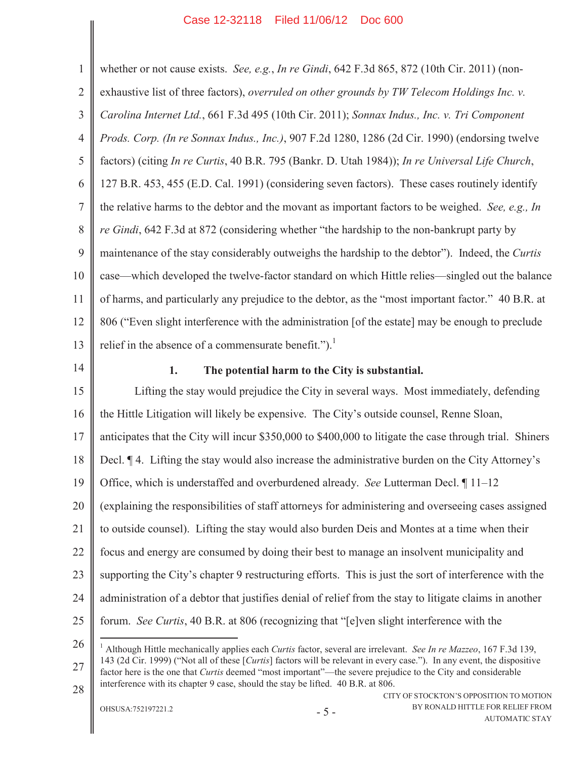1 2 3 4 5 6 7 8 9 10 11 12 13 whether or not cause exists. *See, e.g.*, *In re Gindi*, 642 F.3d 865, 872 (10th Cir. 2011) (nonexhaustive list of three factors), *overruled on other grounds by TW Telecom Holdings Inc. v. Carolina Internet Ltd.*, 661 F.3d 495 (10th Cir. 2011); *Sonnax Indus., Inc. v. Tri Component Prods. Corp. (In re Sonnax Indus., Inc.)*, 907 F.2d 1280, 1286 (2d Cir. 1990) (endorsing twelve factors) (citing *In re Curtis*, 40 B.R. 795 (Bankr. D. Utah 1984)); *In re Universal Life Church*, 127 B.R. 453, 455 (E.D. Cal. 1991) (considering seven factors). These cases routinely identify the relative harms to the debtor and the movant as important factors to be weighed. *See, e.g., In re Gindi*, 642 F.3d at 872 (considering whether "the hardship to the non-bankrupt party by maintenance of the stay considerably outweighs the hardship to the debtor"). Indeed, the *Curtis* case—which developed the twelve-factor standard on which Hittle relies—singled out the balance of harms, and particularly any prejudice to the debtor, as the "most important factor." 40 B.R. at 806 ("Even slight interference with the administration [of the estate] may be enough to preclude relief in the absence of a commensurate benefit." $)$ .<sup>1</sup>

14

### **1. The potential harm to the City is substantial.**

15 16 17 18 19 20 21 22 23 24 25 Lifting the stay would prejudice the City in several ways. Most immediately, defending the Hittle Litigation will likely be expensive. The City's outside counsel, Renne Sloan, anticipates that the City will incur \$350,000 to \$400,000 to litigate the case through trial. Shiners Decl. ¶ 4. Lifting the stay would also increase the administrative burden on the City Attorney's Office, which is understaffed and overburdened already. *See* Lutterman Decl. ¶ 11–12 (explaining the responsibilities of staff attorneys for administering and overseeing cases assigned to outside counsel). Lifting the stay would also burden Deis and Montes at a time when their focus and energy are consumed by doing their best to manage an insolvent municipality and supporting the City's chapter 9 restructuring efforts. This is just the sort of interference with the administration of a debtor that justifies denial of relief from the stay to litigate claims in another forum. *See Curtis*, 40 B.R. at 806 (recognizing that "[e]ven slight interference with the

26

27 28 <sup>1</sup> Although Hittle mechanically applies each *Curtis* factor, several are irrelevant. *See In re Mazzeo*, 167 F.3d 139, 143 (2d Cir. 1999) ("Not all of these [*Curtis*] factors will be relevant in every case."). In any event, the dispositive factor here is the one that *Curtis* deemed "most important"—the severe prejudice to the City and considerable interference with its chapter 9 case, should the stay be lifted. 40 B.R. at 806.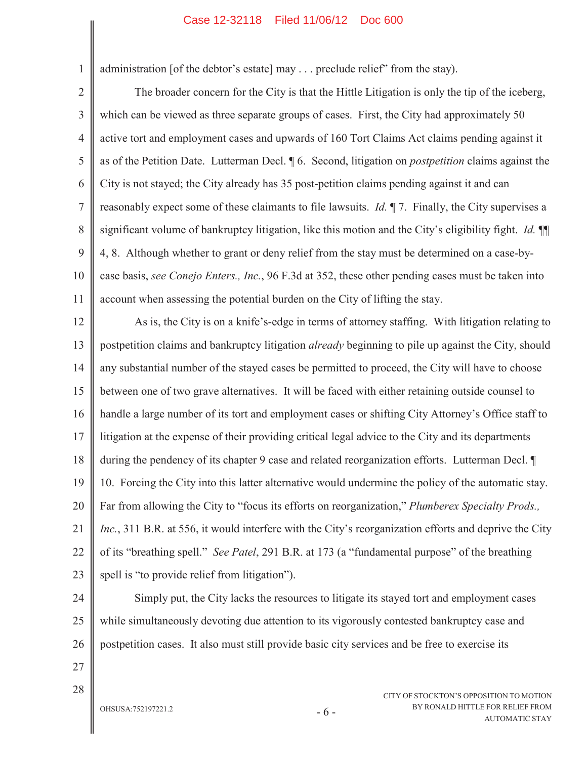administration [of the debtor's estate] may . . . preclude relief" from the stay).

2 3 4 5 6 7 8 9 10 11 The broader concern for the City is that the Hittle Litigation is only the tip of the iceberg, which can be viewed as three separate groups of cases. First, the City had approximately 50 active tort and employment cases and upwards of 160 Tort Claims Act claims pending against it as of the Petition Date. Lutterman Decl. ¶ 6. Second, litigation on *postpetition* claims against the City is not stayed; the City already has 35 post-petition claims pending against it and can reasonably expect some of these claimants to file lawsuits. *Id.* ¶ 7. Finally, the City supervises a significant volume of bankruptcy litigation, like this motion and the City's eligibility fight. *Id.* ¶¶ 4, 8. Although whether to grant or deny relief from the stay must be determined on a case-bycase basis, *see Conejo Enters., Inc.*, 96 F.3d at 352, these other pending cases must be taken into account when assessing the potential burden on the City of lifting the stay.

12 13 14 15 16 17 18 19 20 21 22 23 As is, the City is on a knife's-edge in terms of attorney staffing. With litigation relating to postpetition claims and bankruptcy litigation *already* beginning to pile up against the City, should any substantial number of the stayed cases be permitted to proceed, the City will have to choose between one of two grave alternatives. It will be faced with either retaining outside counsel to handle a large number of its tort and employment cases or shifting City Attorney's Office staff to litigation at the expense of their providing critical legal advice to the City and its departments during the pendency of its chapter 9 case and related reorganization efforts. Lutterman Decl. ¶ 10. Forcing the City into this latter alternative would undermine the policy of the automatic stay. Far from allowing the City to "focus its efforts on reorganization," *Plumberex Specialty Prods., Inc.*, 311 B.R. at 556, it would interfere with the City's reorganization efforts and deprive the City of its "breathing spell." *See Patel*, 291 B.R. at 173 (a "fundamental purpose" of the breathing spell is "to provide relief from litigation").

24 25 26 Simply put, the City lacks the resources to litigate its stayed tort and employment cases while simultaneously devoting due attention to its vigorously contested bankruptcy case and postpetition cases. It also must still provide basic city services and be free to exercise its

27

1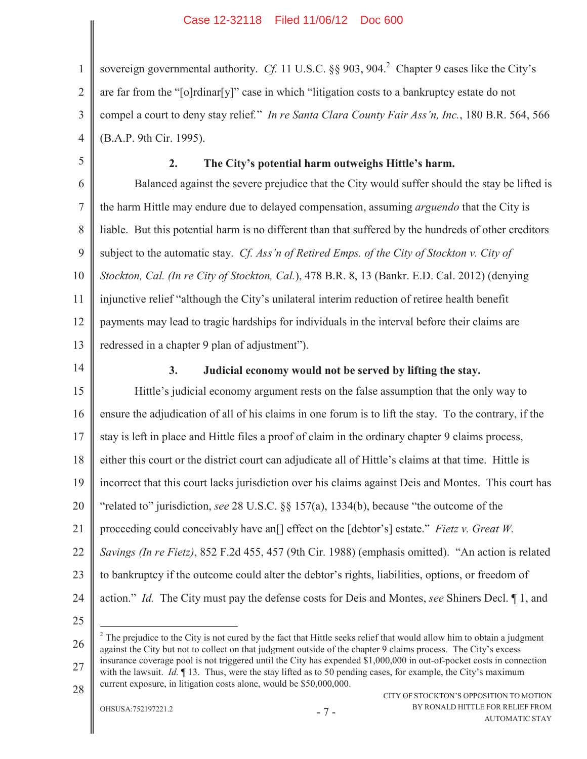1 2 3 4 sovereign governmental authority. *Cf.* 11 U.S.C. §§ 903, 904.<sup>2</sup> Chapter 9 cases like the City's are far from the "[o]rdinar[y]" case in which "litigation costs to a bankruptcy estate do not compel a court to deny stay relief*.*" *In re Santa Clara County Fair Ass'n, Inc.*, 180 B.R. 564, 566 (B.A.P. 9th Cir. 1995).

5

### **2. The City's potential harm outweighs Hittle's harm.**

6 7 8 9 10 11 12 13 Balanced against the severe prejudice that the City would suffer should the stay be lifted is the harm Hittle may endure due to delayed compensation, assuming *arguendo* that the City is liable. But this potential harm is no different than that suffered by the hundreds of other creditors subject to the automatic stay. *Cf. Ass'n of Retired Emps. of the City of Stockton v. City of Stockton, Cal. (In re City of Stockton, Cal.*), 478 B.R. 8, 13 (Bankr. E.D. Cal. 2012) (denying injunctive relief "although the City's unilateral interim reduction of retiree health benefit payments may lead to tragic hardships for individuals in the interval before their claims are redressed in a chapter 9 plan of adjustment").

14

### **3. Judicial economy would not be served by lifting the stay.**

15 16 17 18 19 20 21 22 23 24 Hittle's judicial economy argument rests on the false assumption that the only way to ensure the adjudication of all of his claims in one forum is to lift the stay. To the contrary, if the stay is left in place and Hittle files a proof of claim in the ordinary chapter 9 claims process, either this court or the district court can adjudicate all of Hittle's claims at that time. Hittle is incorrect that this court lacks jurisdiction over his claims against Deis and Montes. This court has "related to" jurisdiction, *see* 28 U.S.C. §§ 157(a), 1334(b), because "the outcome of the proceeding could conceivably have an[] effect on the [debtor's] estate." *Fietz v. Great W. Savings (In re Fietz)*, 852 F.2d 455, 457 (9th Cir. 1988) (emphasis omitted). "An action is related to bankruptcy if the outcome could alter the debtor's rights, liabilities, options, or freedom of action." *Id.* The City must pay the defense costs for Deis and Montes, *see* Shiners Decl. ¶ 1, and

25

26 27 28  $2$  The prejudice to the City is not cured by the fact that Hittle seeks relief that would allow him to obtain a judgment against the City but not to collect on that judgment outside of the chapter 9 claims process. The City's excess insurance coverage pool is not triggered until the City has expended \$1,000,000 in out-of-pocket costs in connection with the lawsuit. *Id.*  $\P$  13. Thus, were the stay lifted as to 50 pending cases, for example, the City's maximum current exposure, in litigation costs alone, would be \$50,000,000.

OHSUSA:752197221.2